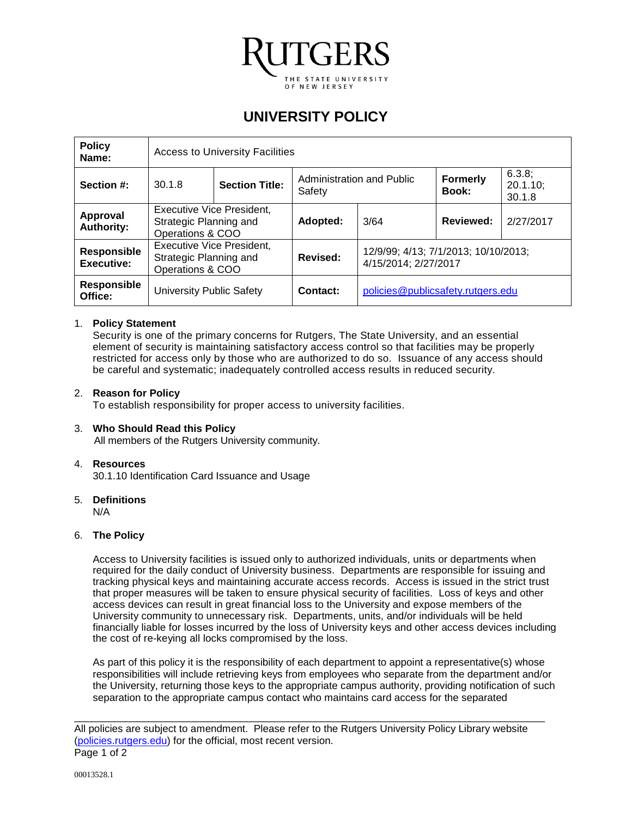

# **UNIVERSITY POLICY**

| <b>Policy</b><br>Name:           | <b>Access to University Facilities</b>                                         |  |                                     |                                                              |                          |                                 |
|----------------------------------|--------------------------------------------------------------------------------|--|-------------------------------------|--------------------------------------------------------------|--------------------------|---------------------------------|
| Section #:                       | 30.1.8<br><b>Section Title:</b>                                                |  | Administration and Public<br>Safety |                                                              | <b>Formerly</b><br>Book: | 6.3.8;<br>$20.1.10$ ;<br>30.1.8 |
| Approval<br><b>Authority:</b>    | <b>Executive Vice President,</b><br>Strategic Planning and<br>Operations & COO |  | Adopted:                            | 3/64                                                         | Reviewed:                | 2/27/2017                       |
| Responsible<br><b>Executive:</b> | <b>Executive Vice President,</b><br>Strategic Planning and<br>Operations & COO |  | Revised:                            | 12/9/99; 4/13; 7/1/2013; 10/10/2013;<br>4/15/2014; 2/27/2017 |                          |                                 |
| <b>Responsible</b><br>Office:    | <b>University Public Safety</b>                                                |  | Contact:                            | policies@publicsafety.rutgers.edu                            |                          |                                 |

## 1. **Policy Statement**

Security is one of the primary concerns for Rutgers, The State University, and an essential element of security is maintaining satisfactory access control so that facilities may be properly restricted for access only by those who are authorized to do so. Issuance of any access should be careful and systematic; inadequately controlled access results in reduced security.

### 2. **Reason for Policy**

To establish responsibility for proper access to university facilities.

### 3. **Who Should Read this Policy**

All members of the Rutgers University community.

### 4. **Resources**

30.1.10 Identification Card Issuance and Usage

### 5. **Definitions**

N/A

### 6. **The Policy**

Access to University facilities is issued only to authorized individuals, units or departments when required for the daily conduct of University business. Departments are responsible for issuing and tracking physical keys and maintaining accurate access records. Access is issued in the strict trust that proper measures will be taken to ensure physical security of facilities. Loss of keys and other access devices can result in great financial loss to the University and expose members of the University community to unnecessary risk. Departments, units, and/or individuals will be held financially liable for losses incurred by the loss of University keys and other access devices including the cost of re-keying all locks compromised by the loss.

As part of this policy it is the responsibility of each department to appoint a representative(s) whose responsibilities will include retrieving keys from employees who separate from the department and/or the University, returning those keys to the appropriate campus authority, providing notification of such separation to the appropriate campus contact who maintains card access for the separated

\_\_\_\_\_\_\_\_\_\_\_\_\_\_\_\_\_\_\_\_\_\_\_\_\_\_\_\_\_\_\_\_\_\_\_\_\_\_\_\_\_\_\_\_\_\_\_\_\_\_\_\_\_\_\_\_\_\_\_\_\_\_\_\_\_\_\_\_\_\_\_\_\_\_\_\_\_\_\_\_\_\_ All policies are subject to amendment. Please refer to the Rutgers University Policy Library website [\(policies.rutgers.edu\)](https://policies.rutgers.edu/) for the official, most recent version. Page 1 of 2